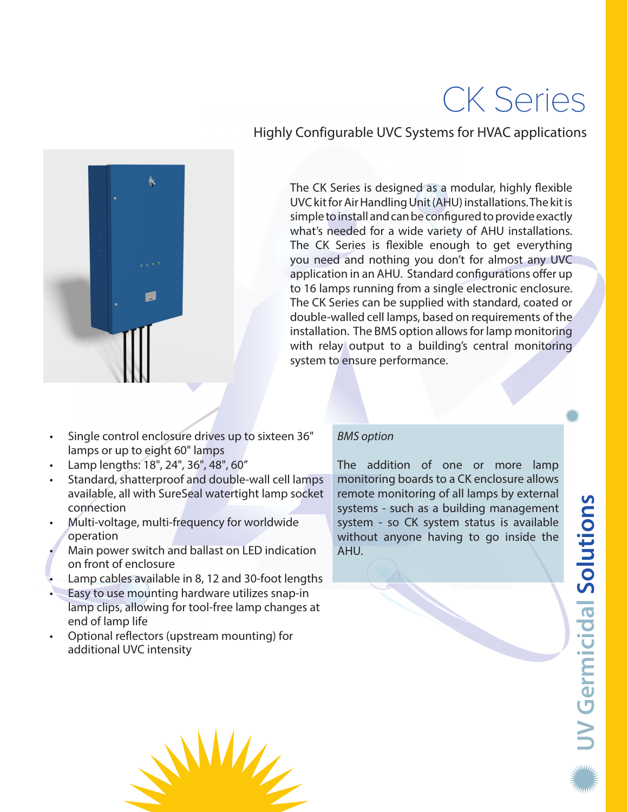# CK Series



Highly Configurable UVC Systems for HVAC applications

The CK Series is designed as a modular, highly flexible UVC kit for Air Handling Unit (AHU) installations. The kit is simple to install and can be configured to provide exactly what's needed for a wide variety of AHU installations. The CK Series is flexible enough to get everything you need and nothing you don't for almost any UVC application in an AHU. Standard configurations offer up to 16 lamps running from a single electronic enclosure. The CK Series can be supplied with standard, coated or double-walled cell lamps, based on requirements of the installation. The BMS option allows for lamp monitoring with relay output to a building's central monitoring system to ensure performance.

- Single control enclosure drives up to sixteen 36" lamps or up to eight 60" lamps
- Lamp lengths: 18", 24", 36", 48", 60"
- Standard, shatterproof and double-wall cell lamps available, all with SureSeal watertight lamp socket connection
- Multi-voltage, multi-frequency for worldwide operation
- Main power switch and ballast on LED indication on front of enclosure
- Lamp cables available in 8, 12 and 30-foot lengths
- Easy to use mounting hardware utilizes snap-in lamp clips, allowing for tool-free lamp changes at end of lamp life
- Optional reflectors (upstream mounting) for additional UVC intensity

## BMS option

The addition of one or more lamp monitoring boards to a CK enclosure allows remote monitoring of all lamps by external systems - such as a building management system - so CK system status is available without anyone having to go inside the AHU.